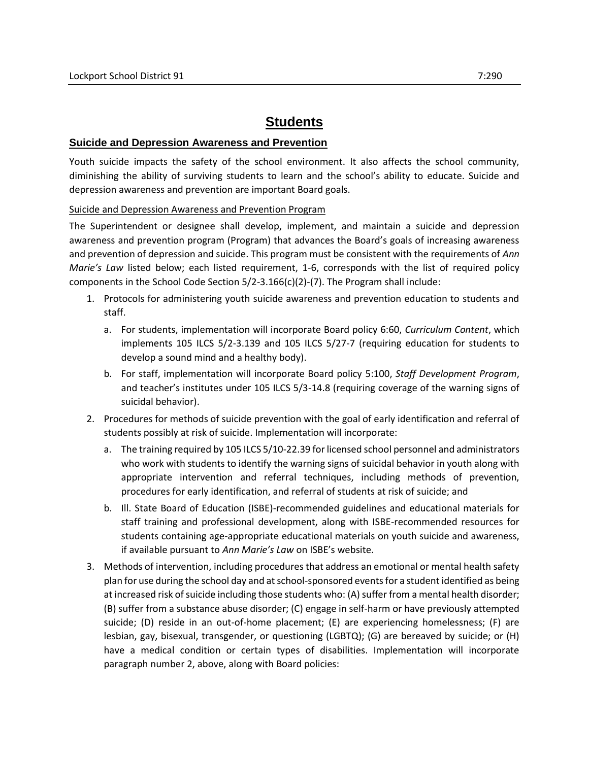# **Students**

# **Suicide and Depression Awareness and Prevention**

Youth suicide impacts the safety of the school environment. It also affects the school community, diminishing the ability of surviving students to learn and the school's ability to educate. Suicide and depression awareness and prevention are important Board goals.

# Suicide and Depression Awareness and Prevention Program

The Superintendent or designee shall develop, implement, and maintain a suicide and depression awareness and prevention program (Program) that advances the Board's goals of increasing awareness and prevention of depression and suicide. This program must be consistent with the requirements of *Ann Marie's Law* listed below; each listed requirement, 1-6, corresponds with the list of required policy components in the School Code Section  $5/2-3.166(c)(2)-(7)$ . The Program shall include:

- 1. Protocols for administering youth suicide awareness and prevention education to students and staff.
	- a. For students, implementation will incorporate Board policy 6:60, *Curriculum Content*, which implements 105 ILCS 5/2-3.139 and 105 ILCS 5/27-7 (requiring education for students to develop a sound mind and a healthy body).
	- b. For staff, implementation will incorporate Board policy 5:100, *Staff Development Program*, and teacher's institutes under 105 ILCS 5/3-14.8 (requiring coverage of the warning signs of suicidal behavior).
- 2. Procedures for methods of suicide prevention with the goal of early identification and referral of students possibly at risk of suicide. Implementation will incorporate:
	- a. The training required by 105 ILCS 5/10-22.39 for licensed school personnel and administrators who work with students to identify the warning signs of suicidal behavior in youth along with appropriate intervention and referral techniques, including methods of prevention, procedures for early identification, and referral of students at risk of suicide; and
	- b. Ill. State Board of Education (ISBE)-recommended guidelines and educational materials for staff training and professional development, along with ISBE-recommended resources for students containing age-appropriate educational materials on youth suicide and awareness, if available pursuant to *Ann Marie's Law* on ISBE's website.
- 3. Methods of intervention, including procedures that address an emotional or mental health safety plan for use during the school day and at school-sponsored events for a student identified as being at increased risk of suicide including those students who: (A) suffer from a mental health disorder; (B) suffer from a substance abuse disorder; (C) engage in self-harm or have previously attempted suicide; (D) reside in an out-of-home placement; (E) are experiencing homelessness; (F) are lesbian, gay, bisexual, transgender, or questioning (LGBTQ); (G) are bereaved by suicide; or (H) have a medical condition or certain types of disabilities. Implementation will incorporate paragraph number 2, above, along with Board policies: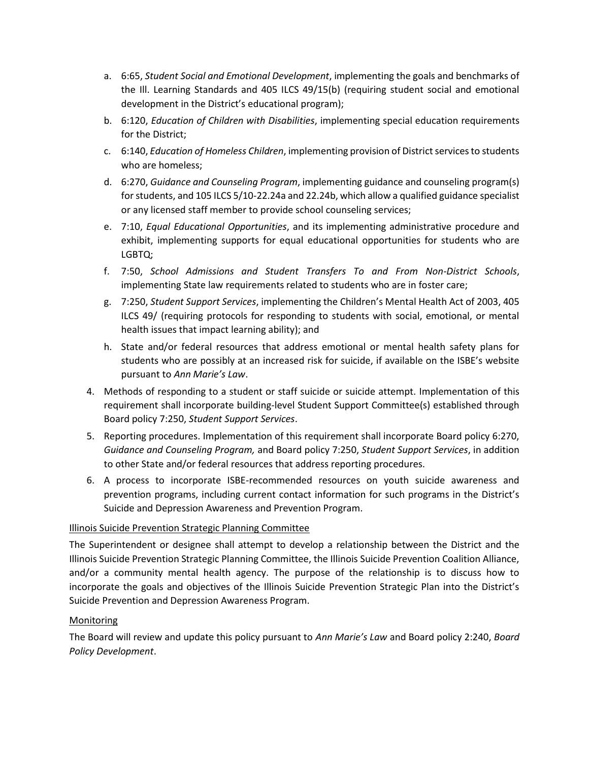- a. 6:65, *Student Social and Emotional Development*, implementing the goals and benchmarks of the Ill. Learning Standards and 405 ILCS 49/15(b) (requiring student social and emotional development in the District's educational program);
- b. 6:120, *Education of Children with Disabilities*, implementing special education requirements for the District;
- c. 6:140, *Education of Homeless Children*, implementing provision of District services to students who are homeless;
- d. 6:270, *Guidance and Counseling Program*, implementing guidance and counseling program(s) for students, and 105 ILCS 5/10-22.24a and 22.24b, which allow a qualified guidance specialist or any licensed staff member to provide school counseling services;
- e. 7:10, *Equal Educational Opportunities*, and its implementing administrative procedure and exhibit, implementing supports for equal educational opportunities for students who are LGBTQ;
- f. 7:50, *School Admissions and Student Transfers To and From Non-District Schools*, implementing State law requirements related to students who are in foster care;
- g. 7:250, *Student Support Services*, implementing the Children's Mental Health Act of 2003, 405 ILCS 49/ (requiring protocols for responding to students with social, emotional, or mental health issues that impact learning ability); and
- h. State and/or federal resources that address emotional or mental health safety plans for students who are possibly at an increased risk for suicide, if available on the ISBE's website pursuant to *Ann Marie's Law*.
- 4. Methods of responding to a student or staff suicide or suicide attempt. Implementation of this requirement shall incorporate building-level Student Support Committee(s) established through Board policy 7:250, *Student Support Services*.
- 5. Reporting procedures. Implementation of this requirement shall incorporate Board policy 6:270, *Guidance and Counseling Program,* and Board policy 7:250, *Student Support Services*, in addition to other State and/or federal resources that address reporting procedures.
- 6. A process to incorporate ISBE-recommended resources on youth suicide awareness and prevention programs, including current contact information for such programs in the District's Suicide and Depression Awareness and Prevention Program.

# Illinois Suicide Prevention Strategic Planning Committee

The Superintendent or designee shall attempt to develop a relationship between the District and the Illinois Suicide Prevention Strategic Planning Committee, the Illinois Suicide Prevention Coalition Alliance, and/or a community mental health agency. The purpose of the relationship is to discuss how to incorporate the goals and objectives of the Illinois Suicide Prevention Strategic Plan into the District's Suicide Prevention and Depression Awareness Program.

# Monitoring

The Board will review and update this policy pursuant to *Ann Marie's Law* and Board policy 2:240, *Board Policy Development*.